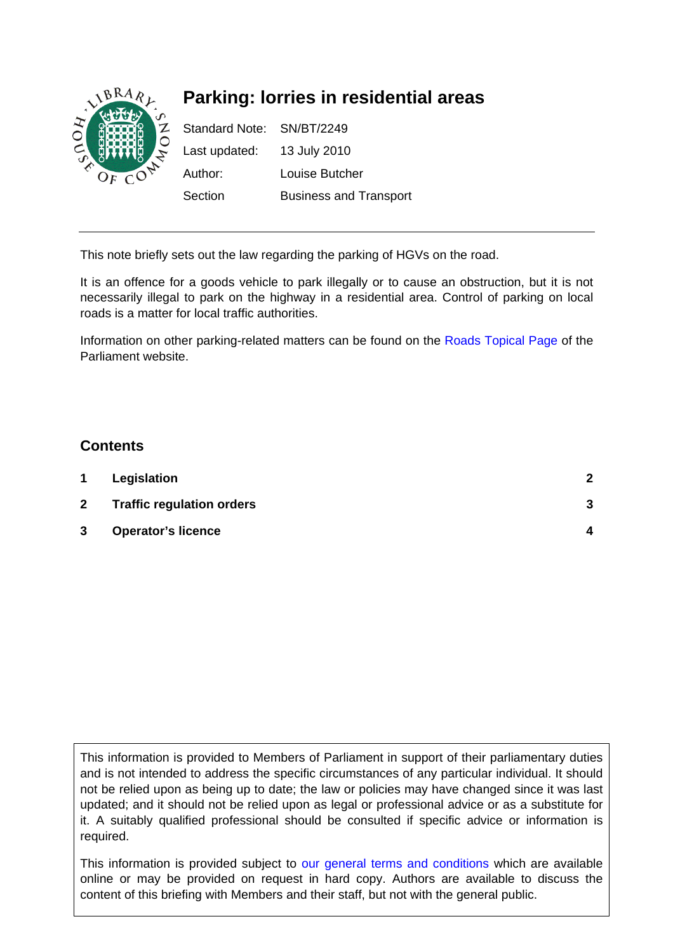

This note briefly sets out the law regarding the parking of HGVs on the road.

It is an offence for a goods vehicle to park illegally or to cause an obstruction, but it is not necessarily illegal to park on the highway in a residential area. Control of parking on local roads is a matter for local traffic authorities.

Information on other parking-related matters can be found on the [Roads Topical Page](http://www.parliament.uk/topics/Roads.htm) of the Parliament website.

## **Contents**

|              | Legislation                      |   |
|--------------|----------------------------------|---|
| $\mathbf{2}$ | <b>Traffic regulation orders</b> | 3 |
| 3            | <b>Operator's licence</b>        |   |

This information is provided to Members of Parliament in support of their parliamentary duties and is not intended to address the specific circumstances of any particular individual. It should not be relied upon as being up to date; the law or policies may have changed since it was last updated; and it should not be relied upon as legal or professional advice or as a substitute for it. A suitably qualified professional should be consulted if specific advice or information is required.

This information is provided subject to [our general terms and conditions](http://www.parliament.uk/site_information/parliamentary_copyright.cfm) which are available online or may be provided on request in hard copy. Authors are available to discuss the content of this briefing with Members and their staff, but not with the general public.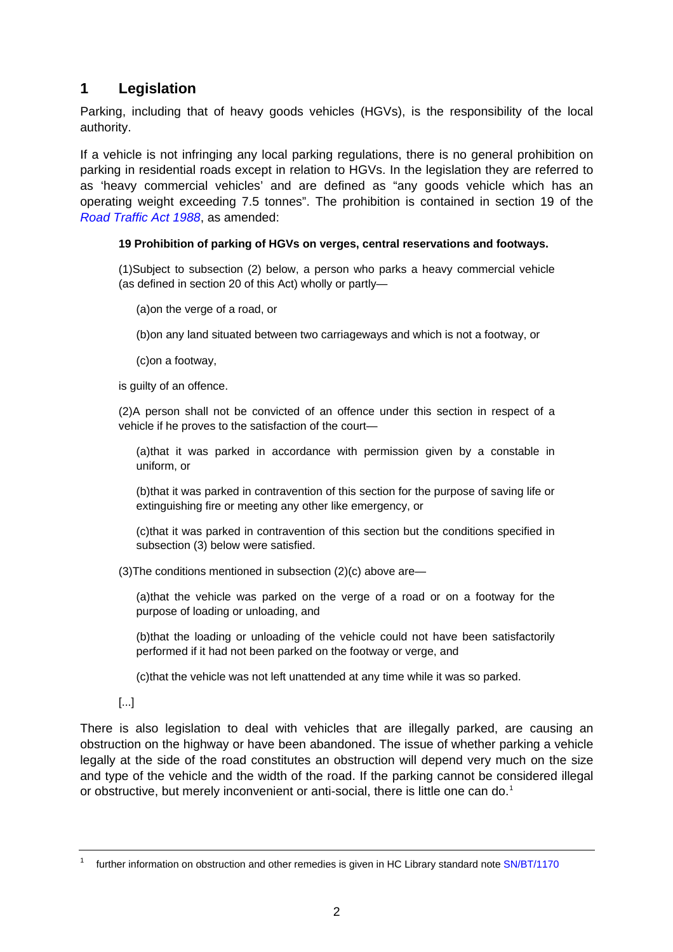# <span id="page-1-0"></span>**1 Legislation**

Parking, including that of heavy goods vehicles (HGVs), is the responsibility of the local authority.

If a vehicle is not infringing any local parking regulations, there is no general prohibition on parking in residential roads except in relation to HGVs. In the legislation they are referred to as 'heavy commercial vehicles' and are defined as "any goods vehicle which has an operating weight exceeding 7.5 tonnes". The prohibition is contained in section 19 of the *[Road Traffic Act 1988](http://www.uk-legislation.hmso.gov.uk/RevisedStatutes/Acts/ukpga/1988/cukpga_19880052_en_4)*, as amended:

#### **19 Prohibition of parking of HGVs on verges, central reservations and footways.**

(1)Subject to subsection (2) below, a person who parks a heavy commercial vehicle (as defined in section 20 of this Act) wholly or partly—

(a)on the verge of a road, or

(b)on any land situated between two carriageways and which is not a footway, or

(c)on a footway,

is guilty of an offence.

(2)A person shall not be convicted of an offence under this section in respect of a vehicle if he proves to the satisfaction of the court—

(a)that it was parked in accordance with permission given by a constable in uniform, or

(b)that it was parked in contravention of this section for the purpose of saving life or extinguishing fire or meeting any other like emergency, or

(c)that it was parked in contravention of this section but the conditions specified in subsection (3) below were satisfied.

(3)The conditions mentioned in subsection (2)(c) above are—

(a)that the vehicle was parked on the verge of a road or on a footway for the purpose of loading or unloading, and

(b)that the loading or unloading of the vehicle could not have been satisfactorily performed if it had not been parked on the footway or verge, and

(c)that the vehicle was not left unattended at any time while it was so parked.

[...]

There is also legislation to deal with vehicles that are illegally parked, are causing an obstruction on the highway or have been abandoned. The issue of whether parking a vehicle legally at the side of the road constitutes an obstruction will depend very much on the size and type of the vehicle and the width of the road. If the parking cannot be considered illegal or obstructive, but merely inconvenient or anti-social, there is little one can do.<sup>[1](#page-1-1)</sup>

<span id="page-1-1"></span><sup>1</sup> further information on obstruction and other remedies is given in HC Library standard note [SN/BT/1170](http://www.parliament.uk/briefingpapers/commons/lib/research/briefings/snbt-01170.pdf)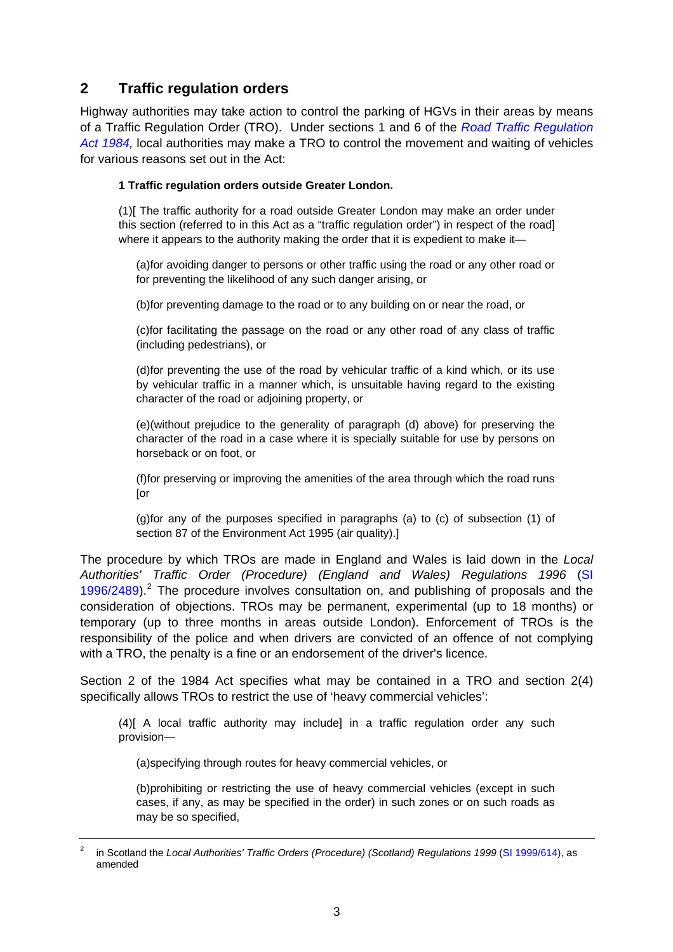# <span id="page-2-0"></span>**2 Traffic regulation orders**

Highway authorities may take action to control the parking of HGVs in their areas by means of a Traffic Regulation Order (TRO). Under sections 1 and 6 of the *[Road Traffic Regulation](http://www.uk-legislation.hmso.gov.uk/RevisedStatutes/Acts/ukpga/1984/cukpga_19840027_en_1)  [Act 1984,](http://www.uk-legislation.hmso.gov.uk/RevisedStatutes/Acts/ukpga/1984/cukpga_19840027_en_1)* local authorities may make a TRO to control the movement and waiting of vehicles for various reasons set out in the Act:

#### **1 Traffic regulation orders outside Greater London.**

(1)[ The traffic authority for a road outside Greater London may make an order under this section (referred to in this Act as a "traffic regulation order") in respect of the road] where it appears to the authority making the order that it is expedient to make it-

(a)for avoiding danger to persons or other traffic using the road or any other road or for preventing the likelihood of any such danger arising, or

(b)for preventing damage to the road or to any building on or near the road, or

(c)for facilitating the passage on the road or any other road of any class of traffic (including pedestrians), or

(d)for preventing the use of the road by vehicular traffic of a kind which, or its use by vehicular traffic in a manner which, is unsuitable having regard to the existing character of the road or adjoining property, or

(e)(without prejudice to the generality of paragraph (d) above) for preserving the character of the road in a case where it is specially suitable for use by persons on horseback or on foot, or

(f)for preserving or improving the amenities of the area through which the road runs [or

(g)for any of the purposes specified in paragraphs (a) to (c) of subsection (1) of section 87 of the Environment Act 1995 (air quality).]

The procedure by which TROs are made in England and Wales is laid down in the *Local Authorities' Traffic Order (Procedure) (England and Wales) Regulations 1996* [\(SI](http://www.uk-legislation.hmso.gov.uk/si/si1996/Uksi_19962489_en_1.htm)   $1996/2489$  $1996/2489$  $1996/2489$ ).<sup>2</sup> The procedure involves consultation on, and publishing of proposals and the consideration of objections. TROs may be permanent, experimental (up to 18 months) or temporary (up to three months in areas outside London). Enforcement of TROs is the responsibility of the police and when drivers are convicted of an offence of not complying with a TRO, the penalty is a fine or an endorsement of the driver's licence.

Section 2 of the 1984 Act specifies what may be contained in a TRO and section 2(4) specifically allows TROs to restrict the use of 'heavy commercial vehicles':

(4)[ A local traffic authority may include] in a traffic regulation order any such provision—

(a)specifying through routes for heavy commercial vehicles, or

(b)prohibiting or restricting the use of heavy commercial vehicles (except in such cases, if any, as may be specified in the order) in such zones or on such roads as may be so specified,

<span id="page-2-1"></span><sup>2</sup> in Scotland the *Local Authorities' Traffic Orders (Procedure) (Scotland) Regulations 1999* [\(SI 1999/614\)](http://www.uk-legislation.hmso.gov.uk/si/si1999/19990614.htm), as amended